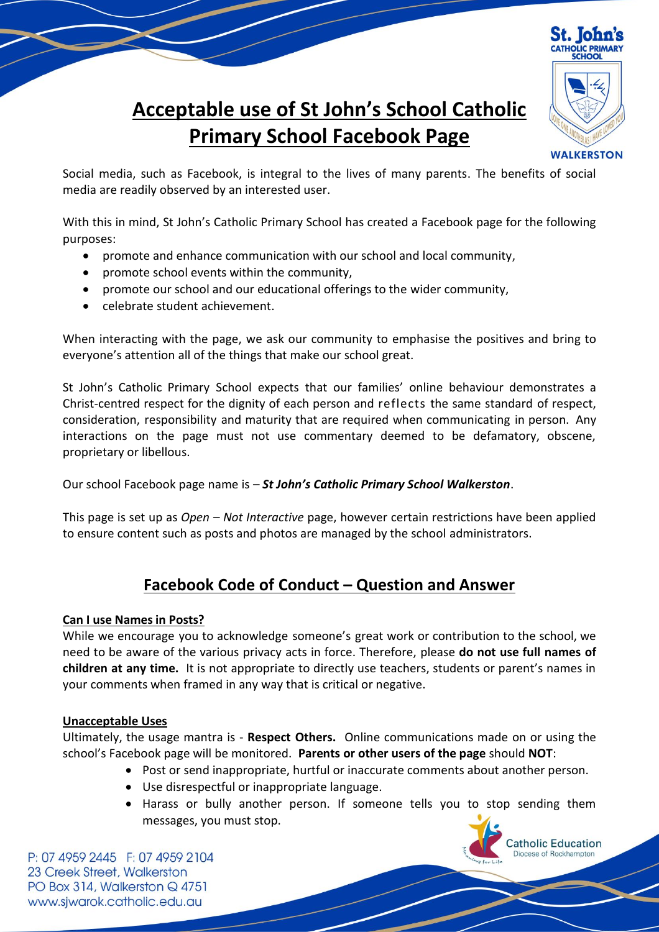

Catholic Education

# **Acceptable use of St John's School Catholic Primary School Facebook Page**

Social media, such as Facebook, is integral to the lives of many parents. The benefits of social media are readily observed by an interested user.

With this in mind, St John's Catholic Primary School has created a Facebook page for the following purposes:

- promote and enhance communication with our school and local community,
- promote school events within the community,
- promote our school and our educational offerings to the wider community,
- celebrate student achievement.

When interacting with the page, we ask our community to emphasise the positives and bring to everyone's attention all of the things that make our school great.

St John's Catholic Primary School expects that our families' online behaviour demonstrates a Christ-centred respect for the dignity of each person and reflects the same standard of respect, consideration, responsibility and maturity that are required when communicating in person. Any interactions on the page must not use commentary deemed to be defamatory, obscene, proprietary or libellous.

Our school Facebook page name is – *St John's Catholic Primary School Walkerston*.

This page is set up as *Open – Not Interactive* page, however certain restrictions have been applied to ensure content such as posts and photos are managed by the school administrators.

# **Facebook Code of Conduct – Question and Answer**

# **Can I use Names in Posts?**

While we encourage you to acknowledge someone's great work or contribution to the school, we need to be aware of the various privacy acts in force. Therefore, please **do not use full names of children at any time.** It is not appropriate to directly use teachers, students or parent's names in your comments when framed in any way that is critical or negative.

#### **Unacceptable Uses**

Ultimately, the usage mantra is - **Respect Others.** Online communications made on or using the school's Facebook page will be monitored. **Parents or other users of the page** should **NOT**:

- Post or send inappropriate, hurtful or inaccurate comments about another person.
- Use disrespectful or inappropriate language.
- Harass or bully another person. If someone tells you to stop sending them messages, you must stop.

P: 07 4959 2445 F: 07 4959 2104 23 Creek Street, Walkerston PO Box 314, Walkerston Q 4751 www.sjwarok.catholic.edu.au